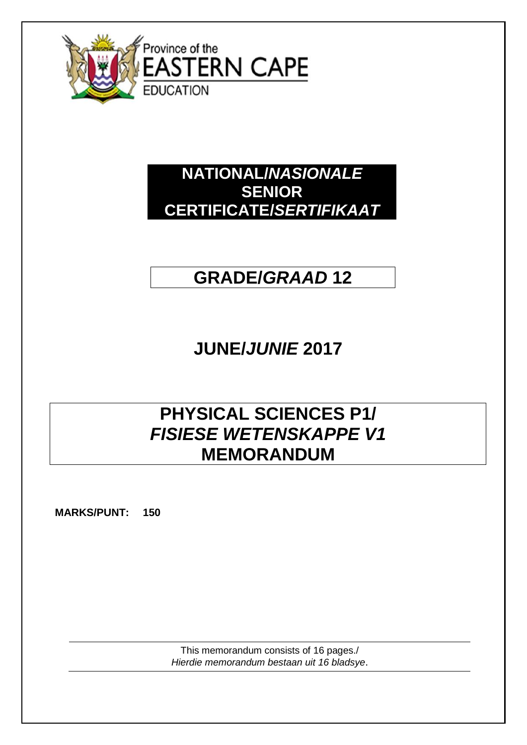

### **NATIONAL/***NASIONALE* **SENIOR CERTIFICATE/***SERTIFIKAAT*

# **GRADE/***GRAAD* **12**

# **JUNE/***JUNIE* **2017**

## **PHYSICAL SCIENCES P1/** *FISIESE WETENSKAPPE V1* **MEMORANDUM**

**MARKS/PUNT: 150**

This memorandum consists of 16 pages./ *Hierdie memorandum bestaan uit 16 bladsye*.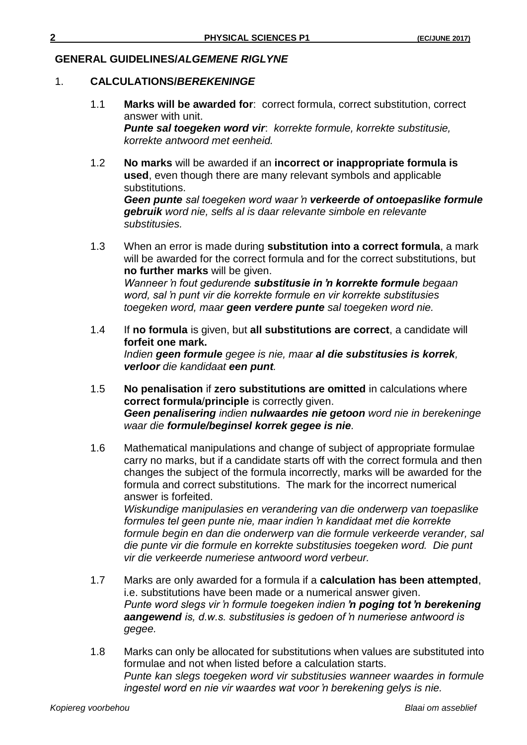#### **GENERAL GUIDELINES/***ALGEMENE RIGLYNE*

#### 1. **CALCULATIONS/***BEREKENINGE*

- 1.1 **Marks will be awarded for**: correct formula, correct substitution, correct answer with unit. *Punte sal toegeken word vir*: *korrekte formule, korrekte substitusie, korrekte antwoord met eenheid.*
- 1.2 **No marks** will be awarded if an **incorrect or inappropriate formula is used**, even though there are many relevant symbols and applicable substitutions.

*Geen punte sal toegeken word waar 'n verkeerde of ontoepaslike formule gebruik word nie, selfs al is daar relevante simbole en relevante substitusies.*

- 1.3 When an error is made during **substitution into a correct formula**, a mark will be awarded for the correct formula and for the correct substitutions, but **no further marks** will be given. *Wanneer 'n fout gedurende substitusie in 'n korrekte formule begaan word, sal 'n punt vir die korrekte formule en vir korrekte substitusies toegeken word, maar geen verdere punte sal toegeken word nie.*
- 1.4 If **no formula** is given, but **all substitutions are correct**, a candidate will **forfeit one mark.** *Indien geen formule gegee is nie, maar al die substitusies is korrek, verloor die kandidaat een punt.*
- 1.5 **No penalisation** if **zero substitutions are omitted** in calculations where **correct formula**/**principle** is correctly given. *Geen penalisering indien nulwaardes nie getoon word nie in berekeninge waar die formule/beginsel korrek gegee is nie.*
- 1.6 Mathematical manipulations and change of subject of appropriate formulae carry no marks, but if a candidate starts off with the correct formula and then changes the subject of the formula incorrectly, marks will be awarded for the formula and correct substitutions. The mark for the incorrect numerical answer is forfeited.

*Wiskundige manipulasies en verandering van die onderwerp van toepaslike formules tel geen punte nie, maar indien 'n kandidaat met die korrekte formule begin en dan die onderwerp van die formule verkeerde verander, sal die punte vir die formule en korrekte substitusies toegeken word. Die punt vir die verkeerde numeriese antwoord word verbeur.*

- 1.7 Marks are only awarded for a formula if a **calculation has been attempted**, i.e. substitutions have been made or a numerical answer given. *Punte word slegs vir 'n formule toegeken indien 'n poging tot 'n berekening aangewend is, d.w.s. substitusies is gedoen of 'n numeriese antwoord is gegee.*
- 1.8 Marks can only be allocated for substitutions when values are substituted into formulae and not when listed before a calculation starts. *Punte kan slegs toegeken word vir substitusies wanneer waardes in formule ingestel word en nie vir waardes wat voor 'n berekening gelys is nie.*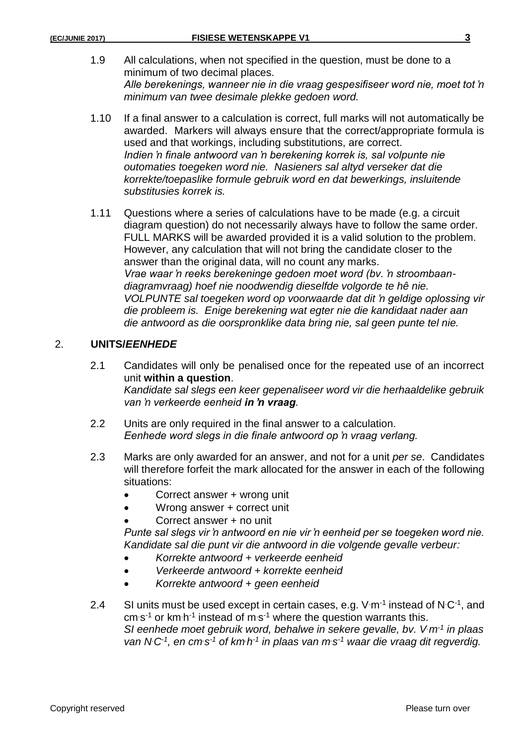- 1.9 All calculations, when not specified in the question, must be done to a minimum of two decimal places. *Alle berekenings, wanneer nie in die vraag gespesifiseer word nie, moet tot 'n minimum van twee desimale plekke gedoen word.*
- 1.10 If a final answer to a calculation is correct, full marks will not automatically be awarded. Markers will always ensure that the correct/appropriate formula is used and that workings, including substitutions, are correct. *Indien 'n finale antwoord van 'n berekening korrek is, sal volpunte nie outomaties toegeken word nie. Nasieners sal altyd verseker dat die korrekte/toepaslike formule gebruik word en dat bewerkings, insluitende substitusies korrek is.*
- 1.11 Questions where a series of calculations have to be made (e.g. a circuit diagram question) do not necessarily always have to follow the same order. FULL MARKS will be awarded provided it is a valid solution to the problem. However, any calculation that will not bring the candidate closer to the answer than the original data, will no count any marks. *Vrae waar 'n reeks berekeninge gedoen moet word (bv. 'n stroombaandiagramvraag) hoef nie noodwendig dieselfde volgorde te hê nie. VOLPUNTE sal toegeken word op voorwaarde dat dit 'n geldige oplossing vir die probleem is. Enige berekening wat egter nie die kandidaat nader aan die antwoord as die oorspronklike data bring nie, sal geen punte tel nie.*

#### 2. **UNITS/***EENHEDE*

2.1 Candidates will only be penalised once for the repeated use of an incorrect unit **within a question**.

*Kandidate sal slegs een keer gepenaliseer word vir die herhaaldelike gebruik van 'n verkeerde eenheid in 'n vraag.*

- 2.2 Units are only required in the final answer to a calculation. *Eenhede word slegs in die finale antwoord op 'n vraag verlang.*
- 2.3 Marks are only awarded for an answer, and not for a unit *per se*. Candidates will therefore forfeit the mark allocated for the answer in each of the following situations:
	- Correct answer + wrong unit
	- Wrong answer + correct unit
	- Correct answer + no unit

*Punte sal slegs vir 'n antwoord en nie vir 'n eenheid per se toegeken word nie. Kandidate sal die punt vir die antwoord in die volgende gevalle verbeur:*

- *Korrekte antwoord + verkeerde eenheid*
- *Verkeerde antwoord + korrekte eenheid*
- *Korrekte antwoord + geen eenheid*
- 2.4 SI units must be used except in certain cases, e.g.  $V \cdot m^{-1}$  instead of N $C^{-1}$ , and cm s<sup>-1</sup> or km·h<sup>-1</sup> instead of m·s<sup>-1</sup> where the question warrants this. *SI eenhede moet gebruik word, behalwe in sekere gevalle, bv. V.m-1 in plaas van N.C-1 , en cm.s -1 of km.h -1 in plaas van m.s -1 waar die vraag dit regverdig.*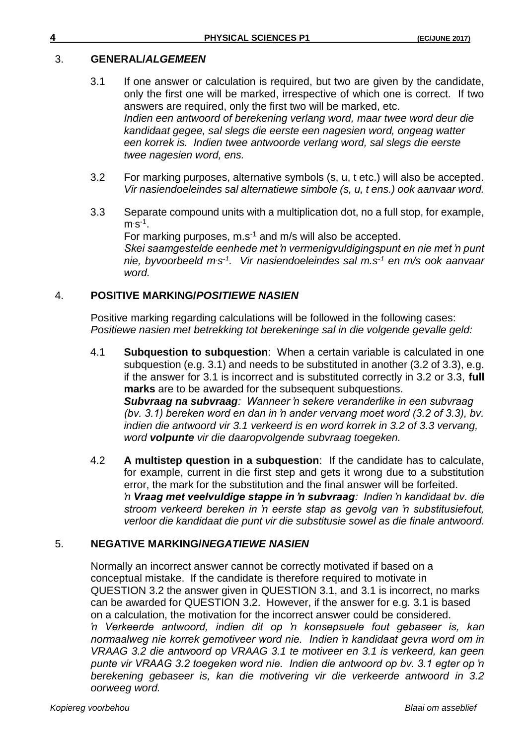### 3. **GENERAL/***ALGEMEEN*

- 3.1 If one answer or calculation is required, but two are given by the candidate, only the first one will be marked, irrespective of which one is correct. If two answers are required, only the first two will be marked, etc. *Indien een antwoord of berekening verlang word, maar twee word deur die kandidaat gegee, sal slegs die eerste een nagesien word, ongeag watter een korrek is. Indien twee antwoorde verlang word, sal slegs die eerste twee nagesien word, ens.*
- 3.2 For marking purposes, alternative symbols (s, u, t etc.) will also be accepted. *Vir nasiendoeleindes sal alternatiewe simbole (s, u, t ens.) ook aanvaar word.*
- 3.3 Separate compound units with a multiplication dot, no a full stop, for example,  $m$  s<sup>-1</sup>.

For marking purposes, m.s<sup>-1</sup> and m/s will also be accepted. *Skei saamgestelde eenhede met 'n vermenigvuldigingspunt en nie met 'n punt nie, byvoorbeeld m.s -1 . Vir nasiendoeleindes sal m.s-1 en m/s ook aanvaar word.*

#### 4. **POSITIVE MARKING/***POSITIEWE NASIEN*

Positive marking regarding calculations will be followed in the following cases: *Positiewe nasien met betrekking tot berekeninge sal in die volgende gevalle geld:*

- 4.1 **Subquestion to subquestion**: When a certain variable is calculated in one subquestion (e.g. 3.1) and needs to be substituted in another (3.2 of 3.3), e.g. if the answer for 3.1 is incorrect and is substituted correctly in 3.2 or 3.3, **full marks** are to be awarded for the subsequent subquestions. *Subvraag na subvraag: Wanneer 'n sekere veranderlike in een subvraag (bv. 3.1) bereken word en dan in 'n ander vervang moet word (3.2 of 3.3), bv. indien die antwoord vir 3.1 verkeerd is en word korrek in 3.2 of 3.3 vervang, word volpunte vir die daaropvolgende subvraag toegeken.*
- 4.2 **A multistep question in a subquestion**: If the candidate has to calculate, for example, current in die first step and gets it wrong due to a substitution error, the mark for the substitution and the final answer will be forfeited. *'n Vraag met veelvuldige stappe in 'n subvraag: Indien 'n kandidaat bv. die stroom verkeerd bereken in 'n eerste stap as gevolg van 'n substitusiefout, verloor die kandidaat die punt vir die substitusie sowel as die finale antwoord.*

### 5. **NEGATIVE MARKING/***NEGATIEWE NASIEN*

Normally an incorrect answer cannot be correctly motivated if based on a conceptual mistake. If the candidate is therefore required to motivate in QUESTION 3.2 the answer given in QUESTION 3.1, and 3.1 is incorrect, no marks can be awarded for QUESTION 3.2. However, if the answer for e.g. 3.1 is based on a calculation, the motivation for the incorrect answer could be considered. *'n Verkeerde antwoord, indien dit op 'n konsepsuele fout gebaseer is, kan normaalweg nie korrek gemotiveer word nie. Indien 'n kandidaat gevra word om in VRAAG 3.2 die antwoord op VRAAG 3.1 te motiveer en 3.1 is verkeerd, kan geen punte vir VRAAG 3.2 toegeken word nie. Indien die antwoord op bv. 3.1 egter op 'n berekening gebaseer is, kan die motivering vir die verkeerde antwoord in 3.2 oorweeg word.*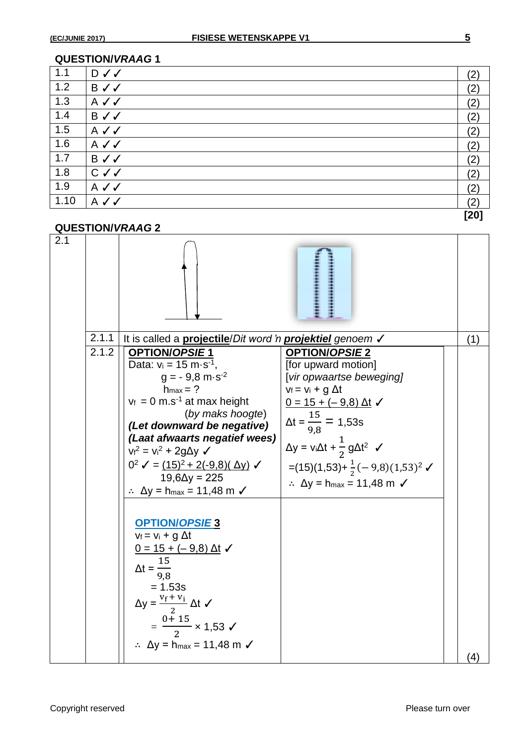| 1.1  | <b>D</b> ✓ ✓ | (2)  |
|------|--------------|------|
| 1.2  | B√√          | (2)  |
| 1.3  | $A \vee C$   | (2)  |
| 1.4  | B√√          | (2)  |
| 1.5  | A√√          | (2)  |
| 1.6  | $A \vee C$   | (2)  |
| 1.7  | B√√          | (2)  |
| 1.8  | $C \vee C$   | (2)  |
| 1.9  | $A \vee C$   | (2)  |
| 1.10 | $A \vee C$   | (2)  |
|      |              | [20] |

#### **QUESTION/***VRAAG* **2**

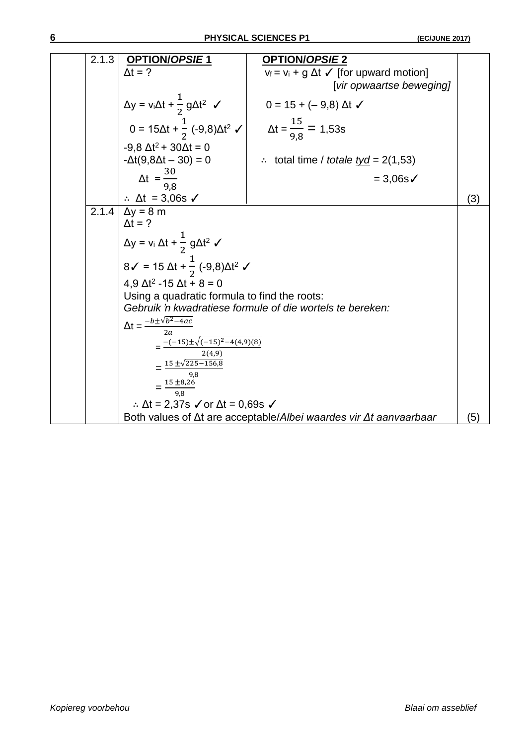| 2.1.3     | <b>OPTION/OPSIE1</b>                                                                              | <b>OPTION/OPSIE 2</b>                                                             |     |
|-----------|---------------------------------------------------------------------------------------------------|-----------------------------------------------------------------------------------|-----|
|           | $\Delta t = ?$                                                                                    | $v_f = v_i + g \Delta t$ (for upward motion)                                      |     |
|           |                                                                                                   | [vir opwaartse beweging]                                                          |     |
|           | $\Delta y = v_i \Delta t + \frac{1}{2} g \Delta t^2$ $\checkmark$                                 | $0 = 15 + (-9.8) \Delta t$                                                        |     |
|           | $0 = 15\Delta t + \frac{1}{2} (-9.8)\Delta t^2$ $\checkmark$ $\Delta t = \frac{15}{9.8} = 1.53$ s |                                                                                   |     |
|           | $-9,8 \Delta t^2 + 30 \Delta t = 0$<br>$-\Delta t(9, 8\Delta t - 30) = 0$                         | $\therefore$ total time / totale <u>tyd</u> = 2(1,53)                             |     |
|           | $\Delta t = \frac{30}{9.8}$                                                                       | $= 3,06s$                                                                         |     |
|           | $\therefore$ $\Delta t = 3,06s$ $\checkmark$                                                      |                                                                                   | (3) |
| $2.1.4$ ] | $\Delta y = 8$ m                                                                                  |                                                                                   |     |
|           | $\Delta t = ?$                                                                                    |                                                                                   |     |
|           | $\Delta y = v_i \Delta t + \frac{1}{2} g \Delta t^2$                                              |                                                                                   |     |
|           | $8\checkmark$ = 15 $\Delta t$ + $\frac{1}{2}$ (-9,8) $\Delta t^2$ $\checkmark$                    |                                                                                   |     |
|           | $4,9 \Delta t^2 - 15 \Delta t + 8 = 0$                                                            |                                                                                   |     |
|           | Using a quadratic formula to find the roots:                                                      |                                                                                   |     |
|           |                                                                                                   | Gebruik 'n kwadratiese formule of die wortels te bereken:                         |     |
|           | $\Delta t = \frac{-b \pm \sqrt{b^2 - 4ac}}{2a}$                                                   |                                                                                   |     |
|           | $=\frac{-(-15)\pm\sqrt{(-15)^2-4(4,9)(8)}}{2}$                                                    |                                                                                   |     |
|           | 2(4,9)                                                                                            |                                                                                   |     |
|           | $=\frac{15\pm\sqrt{225-156.8}}{15\pm\sqrt{225-156.8}}$                                            |                                                                                   |     |
|           | 9,8                                                                                               |                                                                                   |     |
|           | $=\frac{15\pm8,26}{9,8}$                                                                          |                                                                                   |     |
|           | ∴ $\Delta t = 2,37s$ $\checkmark$ or $\Delta t = 0,69s$ $\checkmark$                              |                                                                                   |     |
|           |                                                                                                   | Both values of $\Delta t$ are acceptable/Albei waardes vir $\Delta t$ aanvaarbaar | (5) |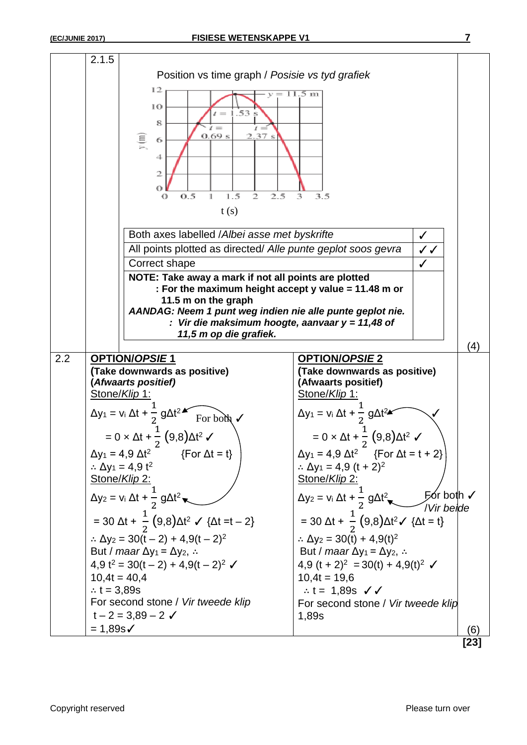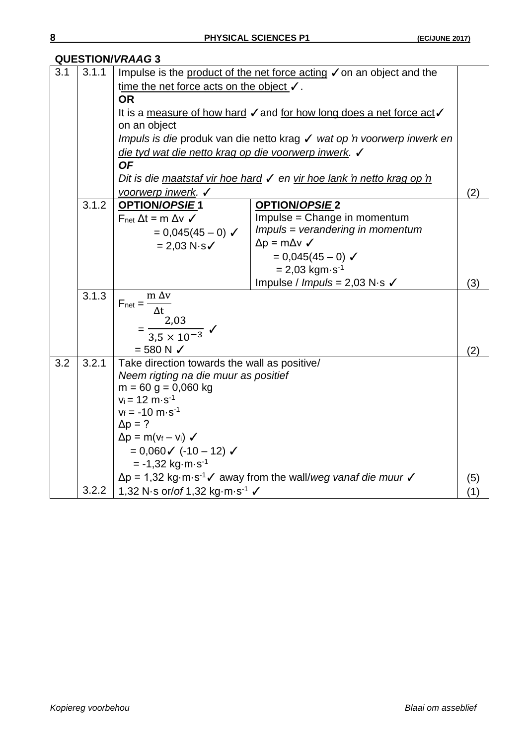|     | WULUTIVIY YINAAU J |                                                                                                                  |     |  |  |
|-----|--------------------|------------------------------------------------------------------------------------------------------------------|-----|--|--|
| 3.1 | 3.1.1              | Impulse is the product of the net force acting √ on an object and the                                            |     |  |  |
|     |                    | time the net force acts on the object $\checkmark$ .                                                             |     |  |  |
|     |                    | <b>OR</b>                                                                                                        |     |  |  |
|     |                    | It is a measure of how hard $\checkmark$ and for how long does a net force act $\checkmark$                      |     |  |  |
|     |                    | on an object                                                                                                     |     |  |  |
|     |                    | Impuls is die produk van die netto krag √ wat op 'n voorwerp inwerk en                                           |     |  |  |
|     |                    | die tyd wat die netto krag op die voorwerp inwerk. √                                                             |     |  |  |
|     |                    | <b>OF</b>                                                                                                        |     |  |  |
|     |                    | Dit is die maatstaf vir hoe hard √ en vir hoe lank 'n netto krag op 'n                                           |     |  |  |
|     |                    | voorwerp inwerk. √                                                                                               | (2) |  |  |
|     | 3.1.2              | OPTION/OPSIE1<br><b>OPTION/OPSIE 2</b>                                                                           |     |  |  |
|     |                    | Impulse = Change in momentum<br>$F_{net} \Delta t = m \Delta v \checkmark$                                       |     |  |  |
|     |                    | Impuls = verandering in momentum<br>$= 0.045(45 - 0)$ $\checkmark$                                               |     |  |  |
|     |                    | $\Delta p = m \Delta v \,$<br>$= 2,03 N·s$                                                                       |     |  |  |
|     |                    | $= 0.045(45 - 0)$ $\checkmark$                                                                                   |     |  |  |
|     |                    | $= 2,03$ kgm s <sup>-1</sup>                                                                                     | (3) |  |  |
|     |                    | Impulse / Impuls = $2,03$ N·s $\checkmark$                                                                       |     |  |  |
|     | 3.1.3              | $F_{\text{net}} = \frac{m \Delta v}{\Delta t}$                                                                   |     |  |  |
|     |                    | 2,03                                                                                                             |     |  |  |
|     |                    | $=\frac{2,03}{3,5\times10^{-3}}$ $\checkmark$                                                                    |     |  |  |
|     |                    |                                                                                                                  |     |  |  |
|     |                    | $= 580 N \checkmark$                                                                                             |     |  |  |
| 3.2 | 3.2.1              | Take direction towards the wall as positive/                                                                     |     |  |  |
|     |                    | Neem rigting na die muur as positief                                                                             |     |  |  |
|     |                    | $m = 60$ g = 0,060 kg<br>$v_i = 12 \text{ m} \cdot \text{s}^{-1}$                                                |     |  |  |
|     |                    | $v_f = -10$ m $\cdot$ s <sup>-1</sup>                                                                            |     |  |  |
|     |                    | $\Delta p = ?$                                                                                                   |     |  |  |
|     |                    | $\Delta p = m(v_f - v_i)$                                                                                        |     |  |  |
|     |                    | $= 0,060 \checkmark$ (-10 - 12) $\checkmark$                                                                     |     |  |  |
|     |                    | $= -1,32$ kg m $\cdot$ s <sup>-1</sup>                                                                           |     |  |  |
|     |                    | $\Delta p = 1.32 \text{ kg} \cdot \text{m} \cdot \text{s}^{-1}$ away from the wall/weg vanaf die muur $\sqrt{ }$ | (5) |  |  |
|     | 3.2.2              | 1,32 N s or/of 1,32 kg m s <sup>-1</sup> $\checkmark$                                                            | (1) |  |  |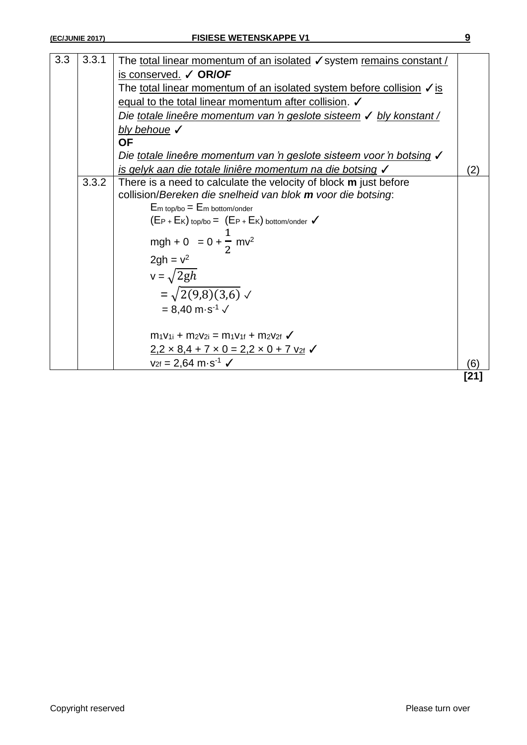| 3.3 | 3.3.1 |                                                                                               |        |
|-----|-------|-----------------------------------------------------------------------------------------------|--------|
|     |       | The total linear momentum of an isolated √ system remains constant /<br>is conserved. ✓ OR/OF |        |
|     |       | The total linear momentum of an isolated system before collision $\sqrt{s}$                   |        |
|     |       |                                                                                               |        |
|     |       | equal to the total linear momentum after collision.                                           |        |
|     |       | Die totale lineêre momentum van 'n geslote sisteem √ bly konstant /                           |        |
|     |       | bly behoue $\checkmark$                                                                       |        |
|     |       | <b>OF</b>                                                                                     |        |
|     |       | Die totale lineêre momentum van 'n geslote sisteem voor 'n botsing √                          |        |
|     |       | is gelyk aan die totale liniêre momentum na die botsing V                                     | (2)    |
|     | 3.3.2 | There is a need to calculate the velocity of block m just before                              |        |
|     |       | collision/Bereken die snelheid van blok m voor die botsing:                                   |        |
|     |       | $E_m$ top/bo = $E_m$ bottom/onder                                                             |        |
|     |       | $(E_{P} + E_{K})$ top/bo = $(E_{P} + E_{K})$ bottom/onder $\checkmark$                        |        |
|     |       |                                                                                               |        |
|     |       | mgh + 0 = 0 + $\frac{1}{2}$ mv <sup>2</sup>                                                   |        |
|     |       | $2gh = v2$                                                                                    |        |
|     |       | $v = \sqrt{2gh}$                                                                              |        |
|     |       | $=\sqrt{2(9,8)(3,6)}$ $\checkmark$                                                            |        |
|     |       | $= 8,40 \text{ m} \cdot \text{s}^{-1}$ $\checkmark$                                           |        |
|     |       |                                                                                               |        |
|     |       | $m_1v_{1i} + m_2v_{2i} = m_1v_{1f} + m_2v_{2f}$                                               |        |
|     |       | $2,2 \times 8,4 + 7 \times 0 = 2,2 \times 0 + 7$ $v_{2f}$ $\checkmark$                        |        |
|     |       | $v_{2f} = 2.64 \text{ m} \cdot \text{s}^{-1}$                                                 | (6)    |
|     |       |                                                                                               | FA 4 1 |

**[21]**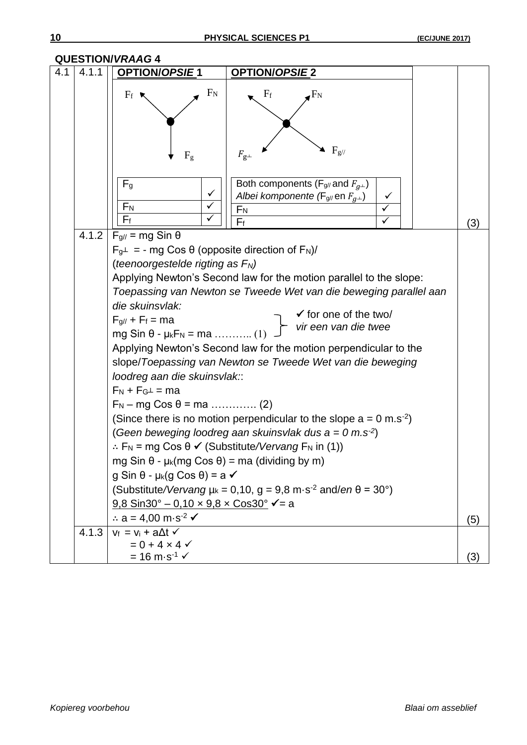|     |       | <b>QUESTION/VRAAG 4</b>                                                                                                                                                                                                                                                                                                                                                                                                                                                                                                              |                                                                                                                                                                                                                                                                                                                                                                                                                                                                                                                                                                                                                                                                                          |     |
|-----|-------|--------------------------------------------------------------------------------------------------------------------------------------------------------------------------------------------------------------------------------------------------------------------------------------------------------------------------------------------------------------------------------------------------------------------------------------------------------------------------------------------------------------------------------------|------------------------------------------------------------------------------------------------------------------------------------------------------------------------------------------------------------------------------------------------------------------------------------------------------------------------------------------------------------------------------------------------------------------------------------------------------------------------------------------------------------------------------------------------------------------------------------------------------------------------------------------------------------------------------------------|-----|
| 4.1 | 4.1.1 | <b>OPTION/OPSIE1</b>                                                                                                                                                                                                                                                                                                                                                                                                                                                                                                                 | <b>OPTION/OPSIE 2</b>                                                                                                                                                                                                                                                                                                                                                                                                                                                                                                                                                                                                                                                                    |     |
|     |       | $F_N$<br>$F_f$<br>F <sub>g</sub>                                                                                                                                                                                                                                                                                                                                                                                                                                                                                                     | $F_f$<br>$F_N$<br>$F_{g/}$<br>$F_{{\bf g} \perp}$                                                                                                                                                                                                                                                                                                                                                                                                                                                                                                                                                                                                                                        |     |
|     |       | F <sub>g</sub><br>✓<br>$F_N$                                                                                                                                                                                                                                                                                                                                                                                                                                                                                                         | Both components ( $F_{g/l}$ and $F_{g+}$ )<br>Albei komponente (F <sub>g/</sub> / en $F_{q+}$ )<br>$F_{\underline{N}}$                                                                                                                                                                                                                                                                                                                                                                                                                                                                                                                                                                   |     |
|     |       | $F_f$                                                                                                                                                                                                                                                                                                                                                                                                                                                                                                                                | $F_f$                                                                                                                                                                                                                                                                                                                                                                                                                                                                                                                                                                                                                                                                                    | (3) |
|     | 4.1.2 | $F_{g//}$ = mg Sin $\theta$<br>$F_g\perp$ = - mg Cos $\theta$ (opposite direction of $F_N$ )/<br>(teenoorgestelde rigting as $F_N$ )<br>die skuinsvlak:<br>$F_{g//} + F_f = ma$<br>mg Sin θ - μ <sub>κ</sub> $F_N$ = ma  (1)<br>loodreg aan die skuinsvlak::<br>$F_N + F_G \perp = ma$<br>$F_N - mg \cos \theta = ma \dots (2)$<br>mg Sin θ - μ <sub>k</sub> (mg Cos θ) = ma (dividing by m)<br>$g$ Sin $\theta$ - $\mu$ <sub>k</sub> (g Cos $\theta$ ) = a $\checkmark$<br><u>9,8 Sin30° – 0,10 x 9,8 x Cos30°</u> $\checkmark$ = a | Applying Newton's Second law for the motion parallel to the slope:<br>Toepassing van Newton se Tweede Wet van die beweging parallel aan<br>$\checkmark$ for one of the two/<br>vir een van die twee<br>Applying Newton's Second law for the motion perpendicular to the<br>slope/Toepassing van Newton se Tweede Wet van die beweging<br>(Since there is no motion perpendicular to the slope $a = 0$ m.s <sup>-2</sup> )<br>(Geen beweging loodreg aan skuinsvlak dus $a = 0$ m.s <sup>-2</sup> )<br>∴ F <sub>N</sub> = mg Cos $\theta$ $\checkmark$ (Substitute/Vervang F <sub>N</sub> in (1))<br>(Substitute/Vervang $\mu_k$ = 0,10, g = 9,8 m·s <sup>-2</sup> and/en $\theta$ = 30°) |     |
|     |       | $\therefore$ a = 4,00 m s <sup>2</sup> $\checkmark$                                                                                                                                                                                                                                                                                                                                                                                                                                                                                  |                                                                                                                                                                                                                                                                                                                                                                                                                                                                                                                                                                                                                                                                                          | (5) |
|     | 4.1.3 | $V_f = V_i + a \Delta t$<br>$= 0 + 4 \times 4$<br>$= 16 \text{ m} \cdot \text{s}^{-1}$                                                                                                                                                                                                                                                                                                                                                                                                                                               |                                                                                                                                                                                                                                                                                                                                                                                                                                                                                                                                                                                                                                                                                          | (3) |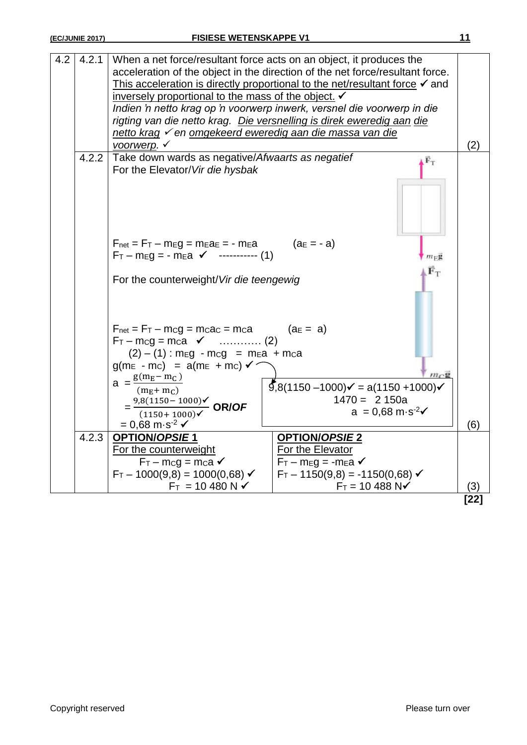| 4.2 | 4.2.1 | When a net force/resultant force acts on an object, it produces the<br>acceleration of the object in the direction of the net force/resultant force.<br>This acceleration is directly proportional to the net/resultant force $\checkmark$ and<br>inversely proportional to the mass of the object. V<br>Indien'n netto krag op 'n voorwerp inwerk, versnel die voorwerp in die |                                           |      |
|-----|-------|---------------------------------------------------------------------------------------------------------------------------------------------------------------------------------------------------------------------------------------------------------------------------------------------------------------------------------------------------------------------------------|-------------------------------------------|------|
|     |       | rigting van die netto krag. Die versnelling is direk eweredig aan die                                                                                                                                                                                                                                                                                                           |                                           |      |
|     |       | netto krag v en omgekeerd eweredig aan die massa van die                                                                                                                                                                                                                                                                                                                        |                                           |      |
|     | 4.2.2 | voorwerp. $\checkmark$<br>(2)<br>Take down wards as negative/Afwaarts as negatief                                                                                                                                                                                                                                                                                               |                                           |      |
|     |       | $\mathbf{F}_{\mathrm{T}}$<br>For the Elevator/Vir die hysbak                                                                                                                                                                                                                                                                                                                    |                                           |      |
|     |       |                                                                                                                                                                                                                                                                                                                                                                                 |                                           |      |
|     |       | $F_{\text{net}} = F_T - m_E g = m_E a_E = - m_E a$ (a $E = -a$ )                                                                                                                                                                                                                                                                                                                |                                           |      |
|     |       | $F_T - m_E g = - m_E a \checkmark$ ----------- (1)                                                                                                                                                                                                                                                                                                                              | $m_{\rm E}$ g                             |      |
|     |       | For the counterweight/Vir die teengewig                                                                                                                                                                                                                                                                                                                                         | $\mathbb{F}_{\mathbb{T}}$                 |      |
|     |       | $F_{\text{net}} = F_T - m_C g = m_C a_C = m_C a$<br>$(2) - (1)$ : meg - mcg = mea + mca                                                                                                                                                                                                                                                                                         | $(a_E = a)$                               |      |
|     |       | $g(m_E - mc) = a(m_E + mc)$                                                                                                                                                                                                                                                                                                                                                     |                                           |      |
|     |       | $a = \frac{g(m_E - m_C)}{g(m_E - m_C)}$<br>$\sqrt{9}$ ,8(1150 –1000) $\checkmark$ = a(1150 +1000) $\checkmark$<br>$(m_F + m_C)$                                                                                                                                                                                                                                                 |                                           |      |
|     |       |                                                                                                                                                                                                                                                                                                                                                                                 | $1470 = 2150a$                            |      |
|     |       | $=\frac{9,8(1150-1000)\checkmark}{(1150+1000)\checkmark}$ OR/OF<br>$a = 0.68 \text{ m} \cdot \text{s}^{-2}$                                                                                                                                                                                                                                                                     |                                           |      |
|     |       | $= 0.68 \text{ m} \cdot \text{s}^{-2}$ $\checkmark$                                                                                                                                                                                                                                                                                                                             |                                           | (6)  |
|     | 4.2.3 | <b>OPTION/OPSIE1</b><br>For the counterweight                                                                                                                                                                                                                                                                                                                                   | <b>OPTION/OPSIE 2</b><br>For the Elevator |      |
|     |       | $F_T - mcg = mca$                                                                                                                                                                                                                                                                                                                                                               | $F_T - m_E g = -m_E a \checkmark$         |      |
|     |       | $F_T - 1000(9,8) = 1000(0,68)$                                                                                                                                                                                                                                                                                                                                                  | $F_T - 1150(9,8) = -1150(0,68)$           |      |
|     |       | $F_T = 10 480 N \checkmark$                                                                                                                                                                                                                                                                                                                                                     | $F_T = 10 488 NV$                         | (3)  |
|     |       |                                                                                                                                                                                                                                                                                                                                                                                 |                                           | [22] |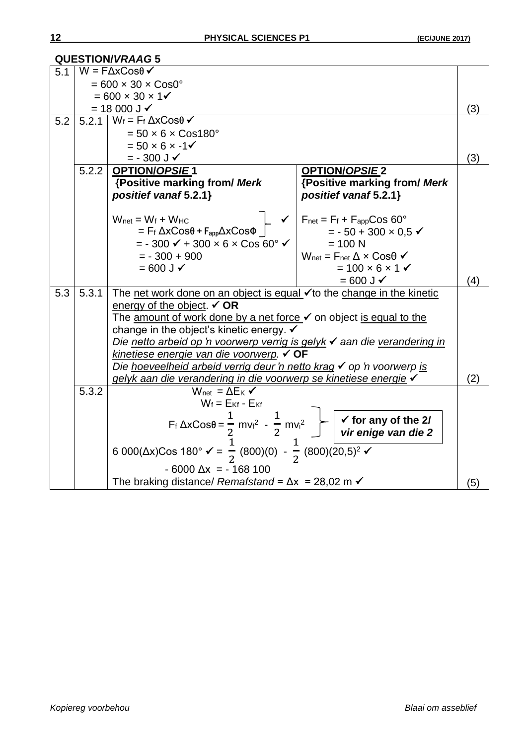|     |                            | <b>QUESTION/VRAAG5</b>                                                                                                               |                                                                                                                                                                                                                   |     |
|-----|----------------------------|--------------------------------------------------------------------------------------------------------------------------------------|-------------------------------------------------------------------------------------------------------------------------------------------------------------------------------------------------------------------|-----|
| 51  |                            | $W = F\Delta x \cos\theta$                                                                                                           |                                                                                                                                                                                                                   |     |
|     |                            | $= 600 \times 30 \times \text{Cos0}^{\circ}$                                                                                         |                                                                                                                                                                                                                   |     |
|     | $= 600 \times 30 \times 1$ |                                                                                                                                      |                                                                                                                                                                                                                   |     |
|     |                            | $= 18000 \text{ J}$                                                                                                                  |                                                                                                                                                                                                                   | (3) |
| 5.2 |                            | 5.2.1 $W_f = F_f \Delta x \cos \theta$                                                                                               |                                                                                                                                                                                                                   |     |
|     |                            | $= 50 \times 6 \times \text{Cos}180^{\circ}$                                                                                         |                                                                                                                                                                                                                   |     |
|     |                            | $= 50 \times 6 \times -1$                                                                                                            |                                                                                                                                                                                                                   |     |
|     |                            | $= -300$ J $\checkmark$                                                                                                              |                                                                                                                                                                                                                   | (3) |
|     | 5.2.2                      | <b>OPTION/OPSIE1</b>                                                                                                                 | <b>OPTION/OPSIE 2</b>                                                                                                                                                                                             |     |
|     |                            | {Positive marking from/ Merk                                                                                                         | {Positive marking from/ Merk                                                                                                                                                                                      |     |
|     |                            | positief vanaf 5.2.1}                                                                                                                | positief vanaf 5.2.1}                                                                                                                                                                                             |     |
|     |                            |                                                                                                                                      |                                                                                                                                                                                                                   |     |
|     |                            | $W_{net} = W_f + W_{HC}$                                                                                                             | $F_{\text{net}} = F_f + F_{\text{app}} \text{Cos } 60^{\circ}$                                                                                                                                                    |     |
|     |                            | $=$ F <sub>f</sub> $\Delta x \cos \theta$ + $F_{app} \Delta x \cos \phi$                                                             | $= -50 + 300 \times 0.5$                                                                                                                                                                                          |     |
|     |                            | $= -300 \checkmark + 300 \times 6 \times \cos 60$ ° $\checkmark$                                                                     | $= 100 N$                                                                                                                                                                                                         |     |
|     |                            | $= -300 + 900$                                                                                                                       | $W_{\text{net}} = F_{\text{net}} \Delta \times \text{Cos}\theta \checkmark$                                                                                                                                       |     |
|     |                            | $= 600$ J $\checkmark$                                                                                                               | $= 100 \times 6 \times 1$                                                                                                                                                                                         |     |
|     |                            |                                                                                                                                      | $= 600$ J $\checkmark$                                                                                                                                                                                            | (4) |
| 5.3 | 5.3.1                      | The net work done on an object is equal $\checkmark$ to the change in the kinetic                                                    |                                                                                                                                                                                                                   |     |
|     |                            | energy of the object. $\checkmark$ OR                                                                                                |                                                                                                                                                                                                                   |     |
|     |                            | The amount of work done by a net force v on object is equal to the<br>change in the object's kinetic energy. V                       |                                                                                                                                                                                                                   |     |
|     |                            | Die netto arbeid op 'n voorwerp verrig is gelyk √ aan die verandering in                                                             |                                                                                                                                                                                                                   |     |
|     |                            | kinetiese energie van die voorwerp. V OF                                                                                             |                                                                                                                                                                                                                   |     |
|     |                            | Die hoeveelheid arbeid verrig deur 'n netto krag v op 'n voorwerp is                                                                 |                                                                                                                                                                                                                   |     |
|     |                            | gelyk aan die verandering in die voorwerp se kinetiese energie√                                                                      |                                                                                                                                                                                                                   | (2) |
|     | 5.3.2                      | $W_{\text{net}} = \Delta E_K \checkmark$                                                                                             |                                                                                                                                                                                                                   |     |
|     |                            | $W_f = E_{Kf} - E_{Kf}$                                                                                                              |                                                                                                                                                                                                                   |     |
|     |                            |                                                                                                                                      |                                                                                                                                                                                                                   |     |
|     |                            |                                                                                                                                      | F <sub>f</sub> $\triangle x \text{Cos}\theta = \frac{1}{2}$ mv <sub>f</sub> <sup>2</sup> - $\frac{1}{2}$ mv <sub>i</sub> <sup>2</sup> $\rightarrow$ $\sqrt{\frac{6}{x}}$ for any of the 2/<br>vir enige van die 2 |     |
|     |                            |                                                                                                                                      |                                                                                                                                                                                                                   |     |
|     |                            | 6 000( $\Delta$ x)Cos 180° $\checkmark$ = $\frac{1}{2}$ (800)(0) - $\frac{1}{2}$ (800)( $\frac{1}{20,5}$ ) <sup>2</sup> $\checkmark$ |                                                                                                                                                                                                                   |     |
|     |                            | $-6000 \Delta x = -168100$                                                                                                           |                                                                                                                                                                                                                   |     |
|     |                            | The braking distance/ Remafstand = $\Delta x$ = 28,02 m $\checkmark$                                                                 |                                                                                                                                                                                                                   | (5) |
|     |                            |                                                                                                                                      |                                                                                                                                                                                                                   |     |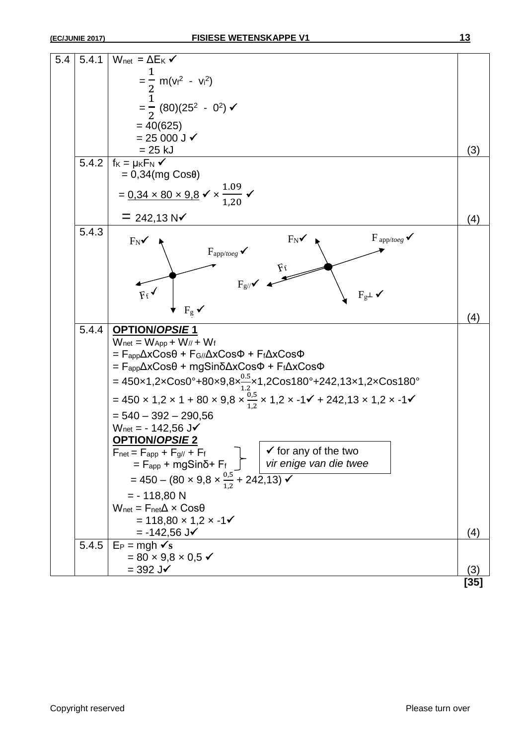| 5.4 | 5.4.1 | $W_{net} = \Delta E_K \checkmark$                                                                                                                     |        |
|-----|-------|-------------------------------------------------------------------------------------------------------------------------------------------------------|--------|
|     |       |                                                                                                                                                       |        |
|     |       |                                                                                                                                                       |        |
|     |       | = $\frac{1}{2}$ m(v <sub>i</sub> <sup>2</sup> - v <sub>i</sub> <sup>2</sup> )<br>= $\frac{1}{2}$ (80)(25 <sup>2</sup> - 0 <sup>2</sup> ) $\checkmark$ |        |
|     |       |                                                                                                                                                       |        |
|     |       | $= 40(625)$                                                                                                                                           |        |
|     |       | $= 25000 \text{ J}$                                                                                                                                   |        |
|     | 5.4.2 | $= 25$ kJ<br>$f_K = \mu_K F_N \checkmark$                                                                                                             | (3)    |
|     |       | $= 0,34$ (mg Cos $\theta$ )                                                                                                                           |        |
|     |       |                                                                                                                                                       |        |
|     |       | = $0.34 \times 80 \times 9.8 \times \times \frac{1.09}{1.20}$                                                                                         |        |
|     |       | $= 242,13 \text{ N}$                                                                                                                                  |        |
|     | 5.4.3 |                                                                                                                                                       | (4)    |
|     |       | $F_{\text{app}/\text{toeg}} \checkmark$<br>$F_N$<br>$F_N$                                                                                             |        |
|     |       | $F_{\text{app}/\text{toeg}}$                                                                                                                          |        |
|     |       |                                                                                                                                                       |        |
|     |       | $F_g$ // $\checkmark$                                                                                                                                 |        |
|     |       | $F_f$<br>$F_g \perp \checkmark$                                                                                                                       |        |
|     |       | $F_g \checkmark$                                                                                                                                      |        |
|     |       |                                                                                                                                                       | (4)    |
|     | 5.4.4 | <b>OPTION/OPSIE1</b>                                                                                                                                  |        |
|     |       | $W_{\text{net}} = W_{\text{App}} + W_{//} + W_f$<br>$=$ $F_{app}\Delta xCos\theta + F_{G//}\Delta xCos\Phi + F_f\Delta xCos\Phi$                      |        |
|     |       | = F <sub>app</sub> ΔxCosθ + mgSinδΔxCosΦ + F <sub>f</sub> ΔxCosΦ                                                                                      |        |
|     |       |                                                                                                                                                       |        |
|     |       | = 450x1,2xCos0°+80x9,8x $\frac{0.5}{1.2}$ x1,2Cos180°+242,13x1,2xCos180°                                                                              |        |
|     |       | = 450 × 1,2 × 1 + 80 × 9,8 × $\frac{0.5}{1.2}$ × 1,2 × -1√ + 242,13 × 1,2 × -1√                                                                       |        |
|     |       | $= 540 - 392 - 290,56$                                                                                                                                |        |
|     |       | $W_{\text{net}} = -142,56 \text{ J}$                                                                                                                  |        |
|     |       | <b>OPTION/OPSIE 2</b>                                                                                                                                 |        |
|     |       | $F_{net} = F_{app} + F_{g//} + F_f$<br>$\checkmark$ for any of the two                                                                                |        |
|     |       | vir enige van die twee<br>$=$ F <sub>app</sub> + mgSinδ+ F <sub>f</sub> $\int$                                                                        |        |
|     |       | = 450 – (80 × 9,8 × $\frac{0.5}{1.2}$ + 242,13) $\checkmark$                                                                                          |        |
|     |       | $= -118,80 N$                                                                                                                                         |        |
|     |       | $W_{\text{net}} = F_{\text{net}} \Delta \times \text{Cos}\theta$                                                                                      |        |
|     |       | $= 118,80 \times 1,2 \times -1$                                                                                                                       |        |
|     |       | $= -142,56$ J $\checkmark$                                                                                                                            | (4)    |
|     | 5.4.5 | $E_P = mgh \, \checkmark s$                                                                                                                           |        |
|     |       | $= 80 \times 9.8 \times 0.5$ $\checkmark$<br>$=$ 392 J $\checkmark$                                                                                   | (3)    |
|     |       |                                                                                                                                                       | $[35]$ |
|     |       |                                                                                                                                                       |        |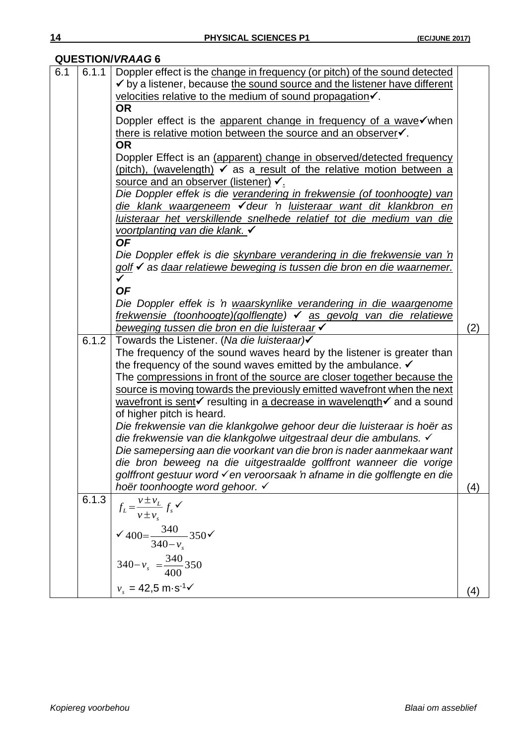#### **QUESTION/***VRAAG* **6**

| 6.1 | 6.1.1 |                                                                                               |     |  |
|-----|-------|-----------------------------------------------------------------------------------------------|-----|--|
|     |       | Doppler effect is the change in frequency (or pitch) of the sound detected                    |     |  |
|     |       | $\checkmark$ by a listener, because the sound source and the listener have different          |     |  |
|     |       | velocities relative to the medium of sound propagation√.                                      |     |  |
|     |       | <b>OR</b>                                                                                     |     |  |
|     |       | Doppler effect is the apparent change in frequency of a wave $\checkmark$ when                |     |  |
|     |       | there is relative motion between the source and an observer.                                  |     |  |
|     |       | <b>OR</b>                                                                                     |     |  |
|     |       | Doppler Effect is an (apparent) change in observed/detected frequency                         |     |  |
|     |       | (pitch), (wavelength) $\checkmark$ as a result of the relative motion between a               |     |  |
|     |       | source and an observer (listener) √.                                                          |     |  |
|     |       | Die Doppler effek is die verandering in frekwensie (of toonhoogte) van                        |     |  |
|     |       | die klank waargeneem √deur 'n luisteraar want dit klankbron en                                |     |  |
|     |       | luisteraar het verskillende snelhede relatief tot die medium van die                          |     |  |
|     |       | voortplanting van die klank. V                                                                |     |  |
|     |       | <b>OF</b>                                                                                     |     |  |
|     |       | Die Doppler effek is die skynbare verandering in die frekwensie van 'n                        |     |  |
|     |       | golf V as daar relatiewe beweging is tussen die bron en die waarnemer.                        |     |  |
|     |       | $\checkmark$                                                                                  |     |  |
|     |       | <b>OF</b>                                                                                     |     |  |
|     |       | Die Doppler effek is 'n waarskynlike verandering in die waargenome                            |     |  |
|     |       | frekwensie (toonhoogte)(golflengte) v as gevolg van die relatiewe                             |     |  |
|     |       | beweging tussen die bron en die luisteraar √                                                  | (2) |  |
|     | 6.1.2 | Towards the Listener. (Na die luisteraar)                                                     |     |  |
|     |       | The frequency of the sound waves heard by the listener is greater than                        |     |  |
|     |       | the frequency of the sound waves emitted by the ambulance. $\checkmark$                       |     |  |
|     |       | The compressions in front of the source are closer together because the                       |     |  |
|     |       | source is moving towards the previously emitted wavefront when the next                       |     |  |
|     |       | wavefront is sent $\checkmark$ resulting in a decrease in wavelength $\checkmark$ and a sound |     |  |
|     |       | of higher pitch is heard.                                                                     |     |  |
|     |       | Die frekwensie van die klankgolwe gehoor deur die luisteraar is hoër as                       |     |  |
|     |       | die frekwensie van die klankgolwe uitgestraal deur die ambulans. √                            |     |  |
|     |       | Die samepersing aan die voorkant van die bron is nader aanmekaar want                         |     |  |
|     |       | die bron beweeg na die uitgestraalde golffront wanneer die vorige                             |     |  |
|     |       | golffront gestuur word ven veroorsaak 'n afname in die golflengte en die                      |     |  |
|     |       | hoër toonhoogte word gehoor. ✓                                                                | (4) |  |
|     | 6.1.3 |                                                                                               |     |  |
|     |       | $f_L = \frac{v \pm v_L}{v \pm v_s} f_s$ $\checkmark$                                          |     |  |
|     |       |                                                                                               |     |  |
|     |       | $\sqrt{400} = \frac{340}{340 - v_s} 350 \sqrt{250}$                                           |     |  |
|     |       |                                                                                               |     |  |
|     |       |                                                                                               |     |  |
|     |       |                                                                                               |     |  |
|     |       | $340 - v_s = \frac{340}{400}350$<br>$v_s = 42.5 \text{ m} \cdot \text{s}^{-1} \checkmark$     |     |  |
|     |       |                                                                                               | (4) |  |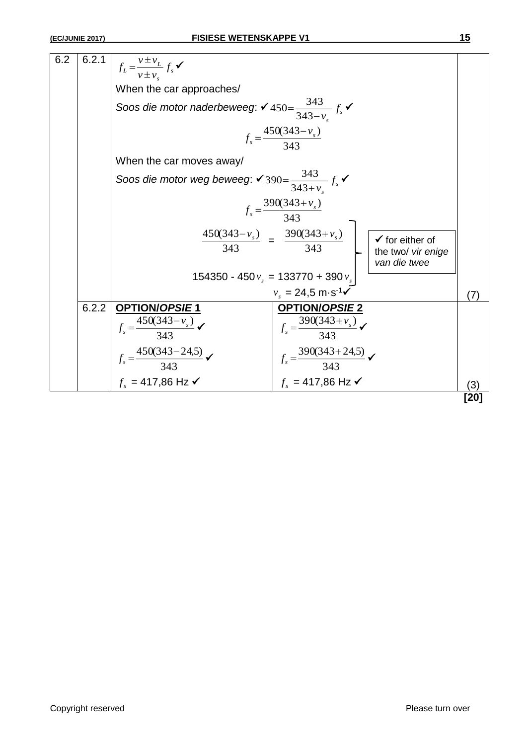| 6.2 | 6.2.1 | $f_L = \frac{v \pm v_L}{v \pm v_L} f_s$ $\checkmark$                               |                                                                                                                           |      |
|-----|-------|------------------------------------------------------------------------------------|---------------------------------------------------------------------------------------------------------------------------|------|
|     |       | When the car approaches/                                                           |                                                                                                                           |      |
|     |       | Soos die motor naderbeweeg: $\checkmark$ 450= $\frac{343}{343-\nu} f_s \checkmark$ |                                                                                                                           |      |
|     |       | $f_s = \frac{450(343 - v_s)}{343}$                                                 |                                                                                                                           |      |
|     |       | When the car moves away/                                                           |                                                                                                                           |      |
|     |       | Soos die motor weg beweeg: $\checkmark$ 390= $\frac{343}{343+v} f_s \checkmark$    |                                                                                                                           |      |
|     |       |                                                                                    | $f_s = \frac{390(343 + v_s)}{343}$                                                                                        |      |
|     |       |                                                                                    | $\frac{450(343-v_s)}{343} = \frac{390(343+v_s)}{343}$<br>$\checkmark$ for either of<br>the two/ vir enige<br>van die twee |      |
|     |       |                                                                                    | 154350 - 450 $v_s$ = 133770 + 390 $v_s$                                                                                   |      |
|     |       |                                                                                    | $v_s = 24.5 \text{ m} \cdot \text{s}^{-1}$                                                                                | (7)  |
|     | 6.2.2 | <b>OPTION/OPSIE1</b>                                                               | <b>OPTION/OPSIE 2</b>                                                                                                     |      |
|     |       | $f_s = \frac{450(343 - v_s)}{343}$                                                 | $f_s = \frac{390(343 + v_s)}{343}$                                                                                        |      |
|     |       | $f_s = \frac{450(343-24.5)}{343}$ $\checkmark$                                     | $f_s = \frac{390(343+24.5)}{343}$                                                                                         |      |
|     |       | $f_{\rm s}$ = 417,86 Hz $\checkmark$                                               | $f_s = 417,86 \text{ Hz}$                                                                                                 | (3)  |
|     |       |                                                                                    |                                                                                                                           | [20] |